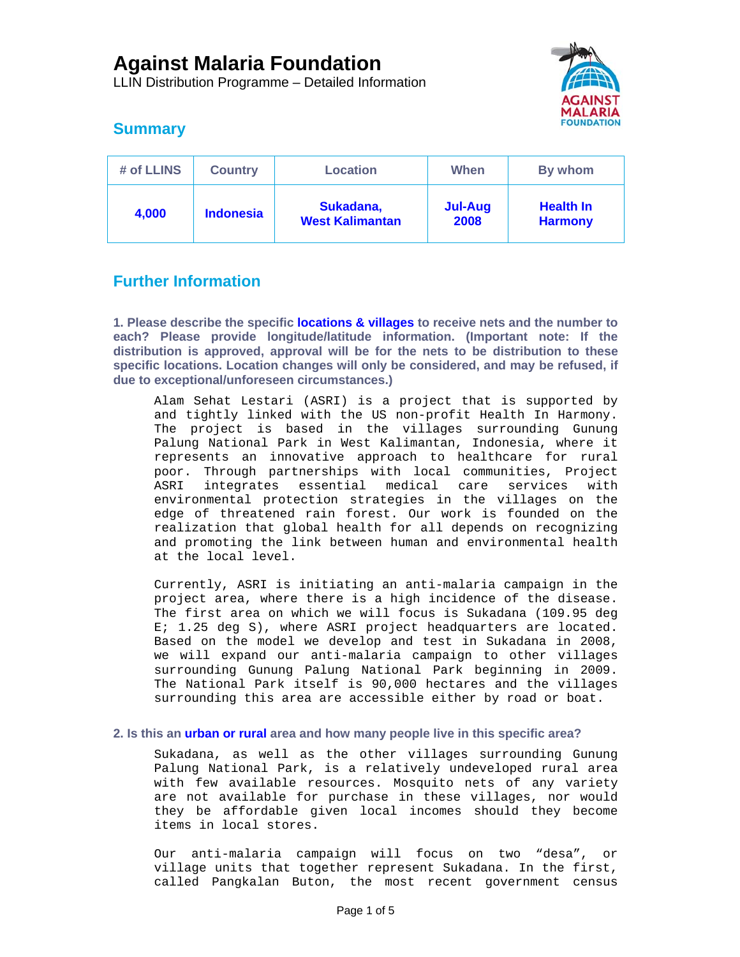LLIN Distribution Programme – Detailed Information



# **Summary**

| # of LLINS | <b>Country</b>   | <b>Location</b>                     | When                   | By whom                            |
|------------|------------------|-------------------------------------|------------------------|------------------------------------|
| 4,000      | <b>Indonesia</b> | Sukadana,<br><b>West Kalimantan</b> | <b>Jul-Aug</b><br>2008 | <b>Health In</b><br><b>Harmony</b> |

# **Further Information**

**1. Please describe the specific locations & villages to receive nets and the number to each? Please provide longitude/latitude information. (Important note: If the distribution is approved, approval will be for the nets to be distribution to these specific locations. Location changes will only be considered, and may be refused, if due to exceptional/unforeseen circumstances.)** 

Alam Sehat Lestari (ASRI) is a project that is supported by and tightly linked with the US non-profit Health In Harmony. The project is based in the villages surrounding Gunung Palung National Park in West Kalimantan, Indonesia, where it represents an innovative approach to healthcare for rural poor. Through partnerships with local communities, Project ASRI integrates essential medical care services with environmental protection strategies in the villages on the edge of threatened rain forest. Our work is founded on the realization that global health for all depends on recognizing and promoting the link between human and environmental health at the local level.

Currently, ASRI is initiating an anti-malaria campaign in the project area, where there is a high incidence of the disease. The first area on which we will focus is Sukadana (109.95 deg E; 1.25 deg S), where ASRI project headquarters are located. Based on the model we develop and test in Sukadana in 2008, we will expand our anti-malaria campaign to other villages surrounding Gunung Palung National Park beginning in 2009. The National Park itself is 90,000 hectares and the villages surrounding this area are accessible either by road or boat.

## **2. Is this an urban or rural area and how many people live in this specific area?**

Sukadana, as well as the other villages surrounding Gunung Palung National Park, is a relatively undeveloped rural area with few available resources. Mosquito nets of any variety are not available for purchase in these villages, nor would they be affordable given local incomes should they become items in local stores.

Our anti-malaria campaign will focus on two "desa", or village units that together represent Sukadana. In the first, called Pangkalan Buton, the most recent government census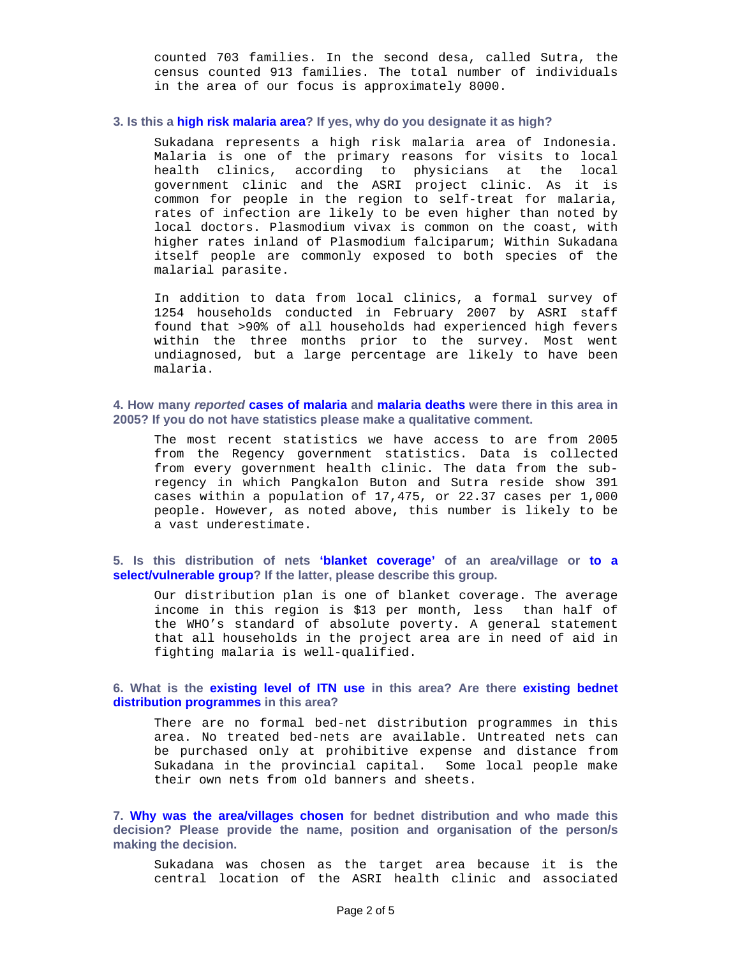counted 703 families. In the second desa, called Sutra, the census counted 913 families. The total number of individuals in the area of our focus is approximately 8000.

#### **3. Is this a high risk malaria area? If yes, why do you designate it as high?**

Sukadana represents a high risk malaria area of Indonesia. Malaria is one of the primary reasons for visits to local health clinics, according to physicians at the local government clinic and the ASRI project clinic. As it is common for people in the region to self-treat for malaria, rates of infection are likely to be even higher than noted by local doctors. Plasmodium vivax is common on the coast, with higher rates inland of Plasmodium falciparum; Within Sukadana itself people are commonly exposed to both species of the malarial parasite.

In addition to data from local clinics, a formal survey of 1254 households conducted in February 2007 by ASRI staff found that >90% of all households had experienced high fevers within the three months prior to the survey. Most went undiagnosed, but a large percentage are likely to have been malaria.

**4. How many** *reported* **cases of malaria and malaria deaths were there in this area in 2005? If you do not have statistics please make a qualitative comment.** 

The most recent statistics we have access to are from 2005 from the Regency government statistics. Data is collected from every government health clinic. The data from the subregency in which Pangkalon Buton and Sutra reside show 391 cases within a population of 17,475, or 22.37 cases per 1,000 people. However, as noted above, this number is likely to be a vast underestimate.

**5. Is this distribution of nets 'blanket coverage' of an area/village or to a select/vulnerable group? If the latter, please describe this group.** 

Our distribution plan is one of blanket coverage. The average income in this region is \$13 per month, less than half of the WHO's standard of absolute poverty. A general statement that all households in the project area are in need of aid in fighting malaria is well-qualified.

### **6. What is the existing level of ITN use in this area? Are there existing bednet distribution programmes in this area?**

There are no formal bed-net distribution programmes in this area. No treated bed-nets are available. Untreated nets can be purchased only at prohibitive expense and distance from Sukadana in the provincial capital. Some local people make their own nets from old banners and sheets.

**7. Why was the area/villages chosen for bednet distribution and who made this decision? Please provide the name, position and organisation of the person/s making the decision.** 

Sukadana was chosen as the target area because it is the central location of the ASRI health clinic and associated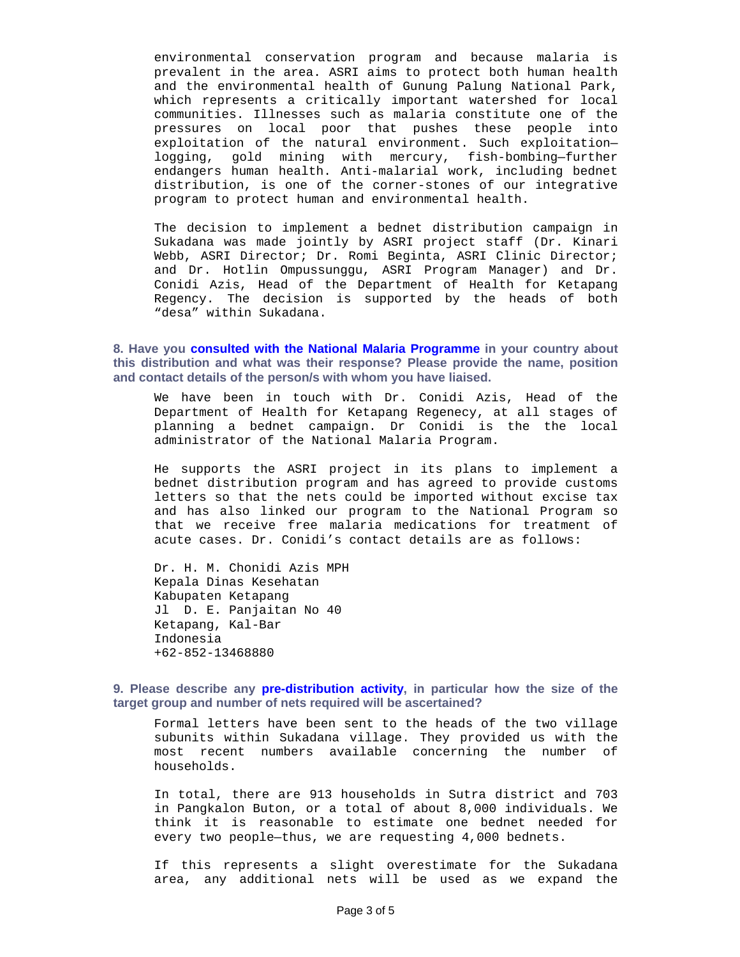environmental conservation program and because malaria is prevalent in the area. ASRI aims to protect both human health and the environmental health of Gunung Palung National Park, which represents a critically important watershed for local communities. Illnesses such as malaria constitute one of the pressures on local poor that pushes these people into exploitation of the natural environment. Such exploitation logging, gold mining with mercury, fish-bombing—further endangers human health. Anti-malarial work, including bednet distribution, is one of the corner-stones of our integrative program to protect human and environmental health.

The decision to implement a bednet distribution campaign in Sukadana was made jointly by ASRI project staff (Dr. Kinari Webb, ASRI Director; Dr. Romi Beginta, ASRI Clinic Director; and Dr. Hotlin Ompussunggu, ASRI Program Manager) and Dr. Conidi Azis, Head of the Department of Health for Ketapang Regency. The decision is supported by the heads of both "desa" within Sukadana.

**8. Have you consulted with the National Malaria Programme in your country about this distribution and what was their response? Please provide the name, position and contact details of the person/s with whom you have liaised.** 

We have been in touch with Dr. Conidi Azis, Head of the Department of Health for Ketapang Regenecy, at all stages of planning a bednet campaign. Dr Conidi is the the local administrator of the National Malaria Program.

He supports the ASRI project in its plans to implement a bednet distribution program and has agreed to provide customs letters so that the nets could be imported without excise tax and has also linked our program to the National Program so that we receive free malaria medications for treatment of acute cases. Dr. Conidi's contact details are as follows:

Dr. H. M. Chonidi Azis MPH Kepala Dinas Kesehatan Kabupaten Ketapang Jl D. E. Panjaitan No 40 Ketapang, Kal-Bar Indonesia +62-852-13468880

### **9. Please describe any pre-distribution activity, in particular how the size of the target group and number of nets required will be ascertained?**

Formal letters have been sent to the heads of the two village subunits within Sukadana village. They provided us with the most recent numbers available concerning the number of households.

In total, there are 913 households in Sutra district and 703 in Pangkalon Buton, or a total of about 8,000 individuals. We think it is reasonable to estimate one bednet needed for every two people—thus, we are requesting 4,000 bednets.

If this represents a slight overestimate for the Sukadana area, any additional nets will be used as we expand the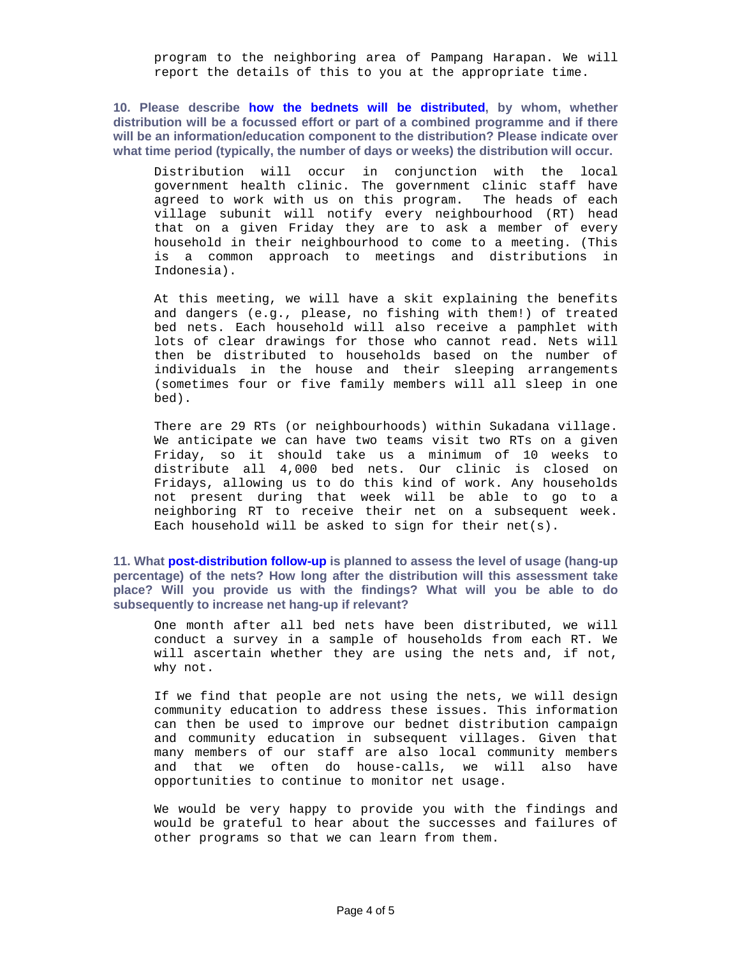program to the neighboring area of Pampang Harapan. We will report the details of this to you at the appropriate time.

**10. Please describe how the bednets will be distributed, by whom, whether distribution will be a focussed effort or part of a combined programme and if there will be an information/education component to the distribution? Please indicate over what time period (typically, the number of days or weeks) the distribution will occur.** 

Distribution will occur in conjunction with the local government health clinic. The government clinic staff have agreed to work with us on this program. The heads of each village subunit will notify every neighbourhood (RT) head that on a given Friday they are to ask a member of every household in their neighbourhood to come to a meeting. (This is a common approach to meetings and distributions in Indonesia).

At this meeting, we will have a skit explaining the benefits and dangers (e.g., please, no fishing with them!) of treated bed nets. Each household will also receive a pamphlet with lots of clear drawings for those who cannot read. Nets will then be distributed to households based on the number of individuals in the house and their sleeping arrangements (sometimes four or five family members will all sleep in one bed).

There are 29 RTs (or neighbourhoods) within Sukadana village. We anticipate we can have two teams visit two RTs on a given Friday, so it should take us a minimum of 10 weeks to distribute all 4,000 bed nets. Our clinic is closed on Fridays, allowing us to do this kind of work. Any households not present during that week will be able to go to a neighboring RT to receive their net on a subsequent week. Each household will be asked to sign for their net(s).

**11. What post-distribution follow-up is planned to assess the level of usage (hang-up percentage) of the nets? How long after the distribution will this assessment take place? Will you provide us with the findings? What will you be able to do subsequently to increase net hang-up if relevant?** 

One month after all bed nets have been distributed, we will conduct a survey in a sample of households from each RT. We will ascertain whether they are using the nets and, if not, why not.

If we find that people are not using the nets, we will design community education to address these issues. This information can then be used to improve our bednet distribution campaign and community education in subsequent villages. Given that many members of our staff are also local community members and that we often do house-calls, we will also have opportunities to continue to monitor net usage.

We would be very happy to provide you with the findings and would be grateful to hear about the successes and failures of other programs so that we can learn from them.